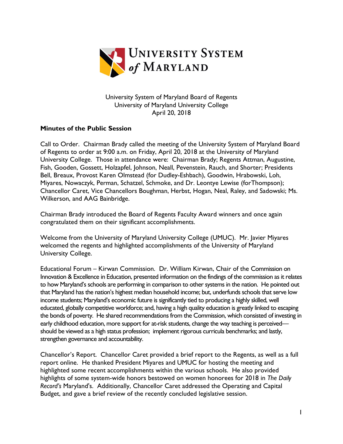

University System of Maryland Board of Regents University of Maryland University College April 20, 2018

## **Minutes of the Public Session**

Call to Order. Chairman Brady called the meeting of the University System of Maryland Board of Regents to order at 9:00 a.m. on Friday, April 20, 2018 at the University of Maryland University College. Those in attendance were: Chairman Brady; Regents Attman, Augustine, Fish, Gooden, Gossett, Holzapfel, Johnson, Neall, Pevenstein, Rauch, and Shorter; Presidents Bell, Breaux, Provost Karen Olmstead (for Dudley-Eshbach), Goodwin, Hrabowski, Loh, Miyares, Nowaczyk, Perman, Schatzel, Schmoke, and Dr. Leontye Lewise (forThompson); Chancellor Caret, Vice Chancellors Boughman, Herbst, Hogan, Neal, Raley, and Sadowski; Ms. Wilkerson, and AAG Bainbridge.

Chairman Brady introduced the Board of Regents Faculty Award winners and once again congratulated them on their significant accomplishments.

Welcome from the University of Maryland University College (UMUC). Mr. Javier Miyares welcomed the regents and highlighted accomplishments of the University of Maryland University College.

Educational Forum – Kirwan Commission. Dr. William Kirwan, Chair of the Commission on Innovation & Excellence in Education, presented information on the findings of the commission as it relates to how Maryland's schools are performing in comparison to other systems in the nation. He pointed out that Maryland has the nation's highest median household income; but, underfunds schools that serve low income students; Maryland's economic future is significantly tied to producing a highly skilled, well educated, globally competitive workforce; and, having a high quality education is greatly linked to escaping the bonds of poverty. He shared recommendations from the Commission, which consisted of investing in early childhood education, more support for at-risk students, change the way teaching is perceived should be viewed as a high status profession; implement rigorous curricula benchmarks; and lastly, strengthen governance and accountability.

Chancellor's Report. Chancellor Caret provided a brief report to the Regents, as well as a full report online. He thanked President Miyares and UMUC for hosting the meeting and highlighted some recent accomplishments within the various schools. He also provided highlights of some system-wide honors bestowed on women honorees for 2018 in *The Daily Record's* Maryland's. Additionally, Chancellor Caret addressed the Operating and Capital Budget, and gave a brief review of the recently concluded legislative session.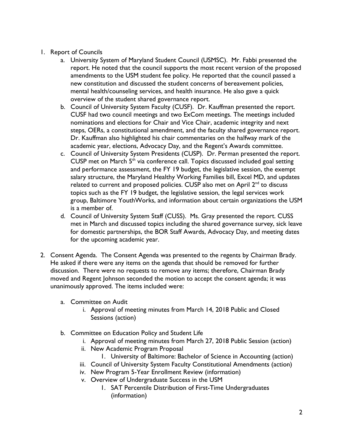- 1. Report of Councils
	- a. University System of Maryland Student Council (USMSC). Mr. Fabbi presented the report. He noted that the council supports the most recent version of the proposed amendments to the USM student fee policy. He reported that the council passed a new constitution and discussed the student concerns of bereavement policies, mental health/counseling services, and health insurance. He also gave a quick overview of the student shared governance report.
	- b. Council of University System Faculty (CUSF). Dr. Kauffman presented the report. CUSF had two council meetings and two ExCom meetings. The meetings included nominations and elections for Chair and Vice Chair, academic integrity and next steps, OERs, a constitutional amendment, and the faculty shared governance report. Dr. Kauffman also highlighted his chair commentaries on the halfway mark of the academic year, elections, Advocacy Day, and the Regent's Awards committee.
	- c. Council of University System Presidents (CUSP). Dr. Perman presented the report. CUSP met on March  $5<sup>th</sup>$  via conference call. Topics discussed included goal setting and performance assessment, the FY 19 budget, the legislative session, the exempt salary structure, the Maryland Healthy Working Families bill, Excel MD, and updates related to current and proposed policies. CUSP also met on April  $2<sup>nd</sup>$  to discuss topics such as the FY 19 budget, the legislative session, the legal services work group, Baltimore YouthWorks, and information about certain organizations the USM is a member of.
	- d. Council of University System Staff (CUSS). Ms. Gray presented the report. CUSS met in March and discussed topics including the shared governance survey, sick leave for domestic partnerships, the BOR Staff Awards, Advocacy Day, and meeting dates for the upcoming academic year.
- 2. Consent Agenda. The Consent Agenda was presented to the regents by Chairman Brady. He asked if there were any items on the agenda that should be removed for further discussion. There were no requests to remove any items; therefore, Chairman Brady moved and Regent Johnson seconded the motion to accept the consent agenda; it was unanimously approved. The items included were:
	- a. Committee on Audit
		- i. Approval of meeting minutes from March 14, 2018 Public and Closed Sessions (action)
	- b. Committee on Education Policy and Student Life
		- i. Approval of meeting minutes from March 27, 2018 Public Session (action)
		- ii. New Academic Program Proposal
			- 1. University of Baltimore: Bachelor of Science in Accounting (action)
		- iii. Council of University System Faculty Constitutional Amendments (action)
		- iv. New Program 5-Year Enrollment Review (information)
		- v. Overview of Undergraduate Success in the USM
			- 1. SAT Percentile Distribution of First-Time Undergraduates (information)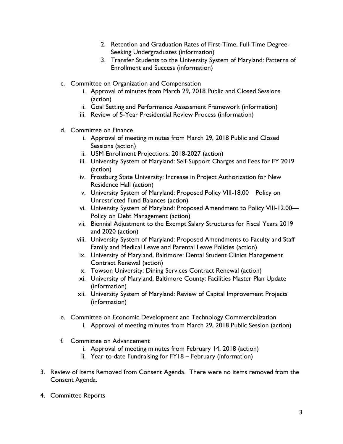- 2. Retention and Graduation Rates of First-Time, Full-Time Degree-Seeking Undergraduates (information)
- 3. Transfer Students to the University System of Maryland: Patterns of Enrollment and Success (information)
- c. Committee on Organization and Compensation
	- i. Approval of minutes from March 29, 2018 Public and Closed Sessions (action)
	- ii. Goal Setting and Performance Assessment Framework (information)
	- iii. Review of 5-Year Presidential Review Process (information)
- d. Committee on Finance
	- i. Approval of meeting minutes from March 29, 2018 Public and Closed Sessions (action)
	- ii. USM Enrollment Projections: 2018-2027 (action)
	- iii. University System of Maryland: Self-Support Charges and Fees for FY 2019 (action)
	- iv. Frostburg State University: Increase in Project Authorization for New Residence Hall (action)
	- v. University System of Maryland: Proposed Policy VIII-18.00—Policy on Unrestricted Fund Balances (action)
	- vi. University System of Maryland: Proposed Amendment to Policy VIII-12.00— Policy on Debt Management (action)
	- vii. Biennial Adjustment to the Exempt Salary Structures for Fiscal Years 2019 and 2020 (action)
	- viii. University System of Maryland: Proposed Amendments to Faculty and Staff Family and Medical Leave and Parental Leave Policies (action)
	- ix. University of Maryland, Baltimore: Dental Student Clinics Management Contract Renewal (action)
	- x. Towson University: Dining Services Contract Renewal (action)
	- xi. University of Maryland, Baltimore County: Facilities Master Plan Update (information)
	- xii. University System of Maryland: Review of Capital Improvement Projects (information)
- e. Committee on Economic Development and Technology Commercialization
	- i. Approval of meeting minutes from March 29, 2018 Public Session (action)
- f. Committee on Advancement
	- i. Approval of meeting minutes from February 14, 2018 (action)
	- ii. Year-to-date Fundraising for FY18 February (information)
- 3. Review of Items Removed from Consent Agenda. There were no items removed from the Consent Agenda.
- 4. Committee Reports